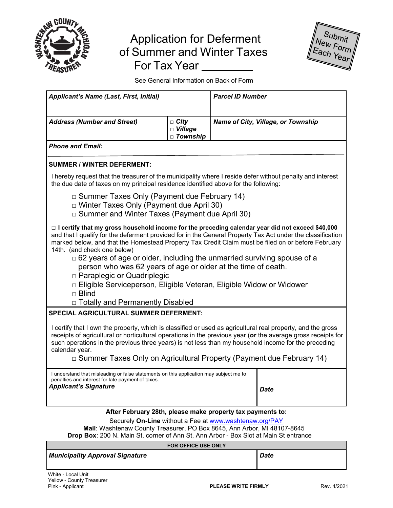

# Application for Deferment of Summer and Winter Taxes For Tax Year



See General Information on Back of Form

| <b>Applicant's Name (Last, First, Initial)</b>                                                                                                                                                                                                                                                                                                                                                                                                                                                                                                                                                                                                                               |                                             | <b>Parcel ID Number</b> |                                    |  |
|------------------------------------------------------------------------------------------------------------------------------------------------------------------------------------------------------------------------------------------------------------------------------------------------------------------------------------------------------------------------------------------------------------------------------------------------------------------------------------------------------------------------------------------------------------------------------------------------------------------------------------------------------------------------------|---------------------------------------------|-------------------------|------------------------------------|--|
| <b>Address (Number and Street)</b>                                                                                                                                                                                                                                                                                                                                                                                                                                                                                                                                                                                                                                           | $\Box$ City<br>$\Box$ Village<br>□ Township |                         | Name of City, Village, or Township |  |
| <b>Phone and Email:</b>                                                                                                                                                                                                                                                                                                                                                                                                                                                                                                                                                                                                                                                      |                                             |                         |                                    |  |
| <b>SUMMER / WINTER DEFERMENT:</b>                                                                                                                                                                                                                                                                                                                                                                                                                                                                                                                                                                                                                                            |                                             |                         |                                    |  |
| I hereby request that the treasurer of the municipality where I reside defer without penalty and interest<br>the due date of taxes on my principal residence identified above for the following:                                                                                                                                                                                                                                                                                                                                                                                                                                                                             |                                             |                         |                                    |  |
| $\Box$ Summer Taxes Only (Payment due February 14)<br>□ Winter Taxes Only (Payment due April 30)<br>□ Summer and Winter Taxes (Payment due April 30)                                                                                                                                                                                                                                                                                                                                                                                                                                                                                                                         |                                             |                         |                                    |  |
| $\Box$ I certify that my gross household income for the preceding calendar year did not exceed \$40,000<br>and that I qualify for the deferment provided for in the General Property Tax Act under the classification<br>marked below, and that the Homestead Property Tax Credit Claim must be filed on or before February<br>14th. (and check one below)<br>$\Box$ 62 years of age or older, including the unmarried surviving spouse of a<br>person who was 62 years of age or older at the time of death.<br>□ Paraplegic or Quadriplegic<br>□ Eligible Serviceperson, Eligible Veteran, Eligible Widow or Widower<br>$\Box$ Blind<br>□ Totally and Permanently Disabled |                                             |                         |                                    |  |
| <b>SPECIAL AGRICULTURAL SUMMER DEFERMENT:</b>                                                                                                                                                                                                                                                                                                                                                                                                                                                                                                                                                                                                                                |                                             |                         |                                    |  |
| I certify that I own the property, which is classified or used as agricultural real property, and the gross<br>receipts of agricultural or horticultural operations in the previous year (or the average gross receipts for<br>such operations in the previous three years) is not less than my household income for the preceding<br>calendar year.<br>$\Box$ Summer Taxes Only on Agricultural Property (Payment due February 14)                                                                                                                                                                                                                                          |                                             |                         |                                    |  |
| I understand that misleading or false statements on this application may subject me to<br>penalties and interest for late payment of taxes.                                                                                                                                                                                                                                                                                                                                                                                                                                                                                                                                  |                                             |                         |                                    |  |
| <b>Applicant's Signature</b>                                                                                                                                                                                                                                                                                                                                                                                                                                                                                                                                                                                                                                                 |                                             |                         | Date                               |  |
| After February 28th, please make property tay nayments to:                                                                                                                                                                                                                                                                                                                                                                                                                                                                                                                                                                                                                   |                                             |                         |                                    |  |

## **After February 28th, please make property tax payments to:**

### Securely **On-Line** without a Fee at www.washtenaw.org/PAY

**Mail**: Washtenaw County Treasurer, PO Box 8645, Ann Arbor, MI 48107-8645 **Drop Box**: 200 N. Main St, corner of Ann St, Ann Arbor - Box Slot at Main St entrance

#### **FOR OFFICE USE ONLY**

| Municipality Approval Signature | Date |
|---------------------------------|------|
|---------------------------------|------|